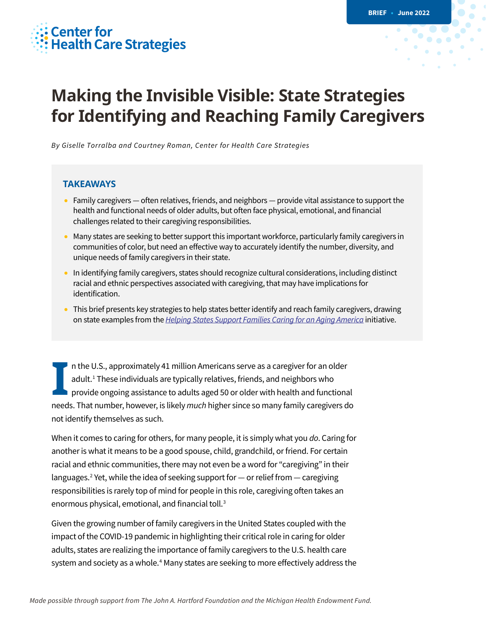# **Center for<br>Health Care Strategies**

# **Making the Invisible Visible: State Strategies for Identifying and Reaching Family Caregivers**

*By Giselle Torralba and Courtney Roman, Center for Health Care Strategies*

#### **TAKEAWAYS**

- Family caregivers often relatives, friends, and neighbors provide vital assistance to support the health and functional needs of older adults, but often face physical, emotional, and financial challenges related to their caregiving responsibilities.
- Many states are seeking to better support this important workforce, particularly family caregivers in communities of color, but need an effective way to accurately identify the number, diversity, and unique needs of family caregivers in their state.
- In identifying family caregivers, states should recognize cultural considerations, including distinct racial and ethnic perspectives associated with caregiving, that may have implications for identification.
- This brief presents key strategies to help states better identify and reach family caregivers, drawing on state examples from the *[Helping States Support Families Caring for an Aging America](https://www.chcs.org/project/helping-states-support-families-caring-for-an-aging-america/)* initiative.

n the U.S., approximately 41 million Americans serve as a caregiver for an older adult.<sup>[1](#page-7-0)</sup> These individuals are typically relatives, friends, and neighbors who provide ongoing assistance to adults aged 50 or older with health and functional In the U.S., approximately 41 million Americans serve as a caregiver for an older adult.<sup>1</sup> These individuals are typically relatives, friends, and neighbors who provide ongoing assistance to adults aged 50 or older with h not identify themselves as such.

When it comes to caring for others, for many people, it is simply what you *do*. Caring for another is what it means to be a good spouse, child, grandchild, or friend. For certain racial and ethnic communities, there may not even be a word for "caregiving" in their languages.<sup>2</sup> Yet, while the idea of seeking support for  $-$  or relief from  $-$  caregiving responsibilities is rarely top of mind for people in this role, caregiving often takes an enormous physical, emotional, and financial toll.<sup>3</sup>

Given the growing number of family caregivers in the United States coupled with the impact of the COVID-19 pandemic in highlighting their critical role in caring for older adults, states are realizing the importance of family caregivers to the U.S. health care system and society as a whole.<sup>[4](#page-7-3)</sup> Many states are seeking to more effectively address the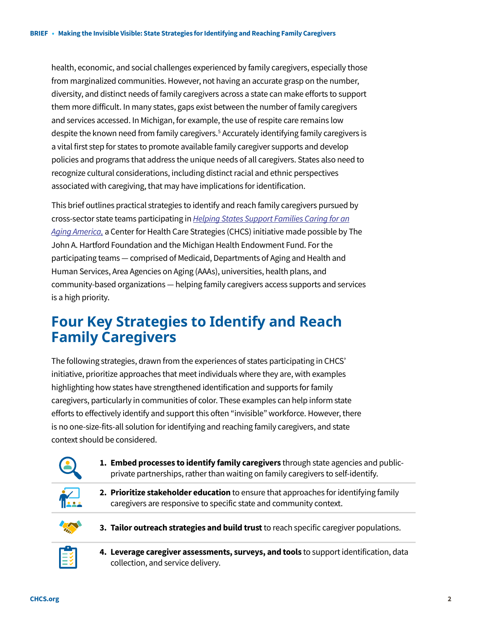health, economic, and social challenges experienced by family caregivers, especially those from marginalized communities. However, not having an accurate grasp on the number, diversity, and distinct needs of family caregivers across a state can make efforts to support them more difficult. In many states, gaps exist between the number of family caregivers and services accessed. In Michigan, for example, the use of respite care remains low despite the known need from family caregivers.<sup>[5](#page-7-4)</sup> Accurately identifying family caregivers is a vital first step for states to promote available family caregiver supports and develop policies and programs that address the unique needs of all caregivers. States also need to recognize cultural considerations, including distinct racial and ethnic perspectives associated with caregiving, that may have implications for identification.

This brief outlines practical strategies to identify and reach family caregivers pursued by cross-sector state teams participating in *[Helping States Support Families Caring for an](https://www.chcs.org/project/helping-states-support-families-caring-for-an-aging-america/)  [Aging America,](https://www.chcs.org/project/helping-states-support-families-caring-for-an-aging-america/)* a Center for Health Care Strategies (CHCS) initiative made possible by The John A. Hartford Foundation and the Michigan Health Endowment Fund. For the participating teams — comprised of Medicaid, Departments of Aging and Health and Human Services, Area Agencies on Aging (AAAs), universities, health plans, and community-based organizations — helping family caregivers access supports and services is a high priority.

# **Four Key Strategies to Identify and Reach Family Caregivers**

The following strategies, drawn from the experiences of states participating in CHCS' initiative, prioritize approaches that meet individuals where they are, with examples highlighting how states have strengthened identification and supports for family caregivers, particularly in communities of color. These examples can help inform state efforts to effectively identify and support this often "invisible" workforce. However, there is no one-size-fits-all solution for identifying and reaching family caregivers, and state context should be considered.



**1. Embed processes to identify family caregivers** through state agencies and publicprivate partnerships, rather than waiting on family caregivers to self-identify.



**2. Prioritize stakeholder education** to ensure that approaches for identifying family caregivers are responsive to specific state and community context.



**3. Tailor outreach strategies and build trust**to reach specific caregiver populations.



**4. Leverage caregiver assessments, surveys, and tools** to support identification, data collection, and service delivery.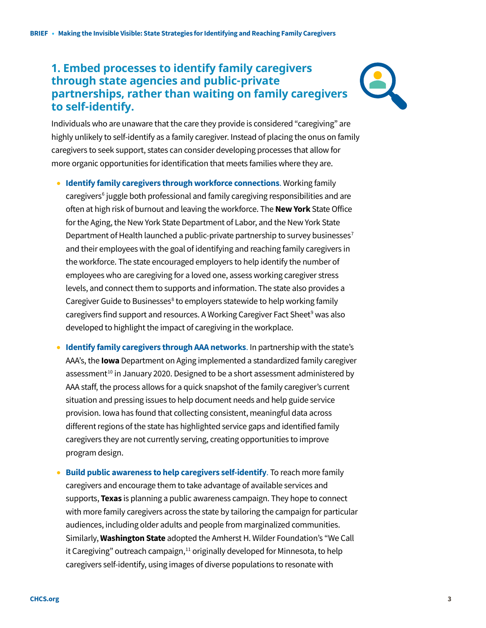## **1. Embed processes to identify family caregivers through state agencies and public-private partnerships, rather than waiting on family caregivers to self-identify.**



Individuals who are unaware that the care they provide is considered "caregiving" are highly unlikely to self-identify as a family caregiver. Instead of placing the onus on family caregivers to seek support, states can consider developing processes that allow for more organic opportunities for identification that meets families where they are.

- **Identify family caregivers through workforce connections**. Working family caregivers<sup>[6](#page-7-5)</sup> juggle both professional and family caregiving responsibilities and are often at high risk of burnout and leaving the workforce. The **New York** State Office for the Aging, the New York State Department of Labor, and the New York State Department of Health launched a public-private partnership to survey businesses<sup>[7](#page-7-6)</sup> and their employees with the goal of identifying and reaching family caregivers in the workforce. The state encouraged employers to help identify the number of employees who are caregiving for a loved one, assess working caregiver stress levels, and connect them to supports and information. The state also provides a Caregiver Guide to Businesses<sup>[8](#page-7-7)</sup> to employers statewide to help working family caregivers find support and resources. A Working Caregiver Fact Sheet<sup>[9](#page-7-8)</sup> was also developed to highlight the impact of caregiving in the workplace.
- **Identify family caregivers through AAA networks**. In partnership with the state's AAA's, the **Iowa** Department on Aging implemented a standardized family caregiver assessment<sup>[10](#page-7-9)</sup> in January 2020. Designed to be a short assessment administered by AAA staff, the process allows for a quick snapshot of the family caregiver's current situation and pressing issues to help document needs and help guide service provision. Iowa has found that collecting consistent, meaningful data across different regions of the state has highlighted service gaps and identified family caregivers they are not currently serving, creating opportunities to improve program design.
- **Build public awareness to help caregivers self-identify**. To reach more family caregivers and encourage them to take advantage of available services and supports, **Texas** is planning a public awareness campaign. They hope to connect with more family caregivers across the state by tailoring the campaign for particular audiences, including older adults and people from marginalized communities. Similarly, **Washington State** adopted the Amherst H. Wilder Foundation's "We Call it Caregiving" outreach campaign,<sup>[11](#page-7-10)</sup> originally developed for Minnesota, to help caregivers self-identify, using images of diverse populations to resonate with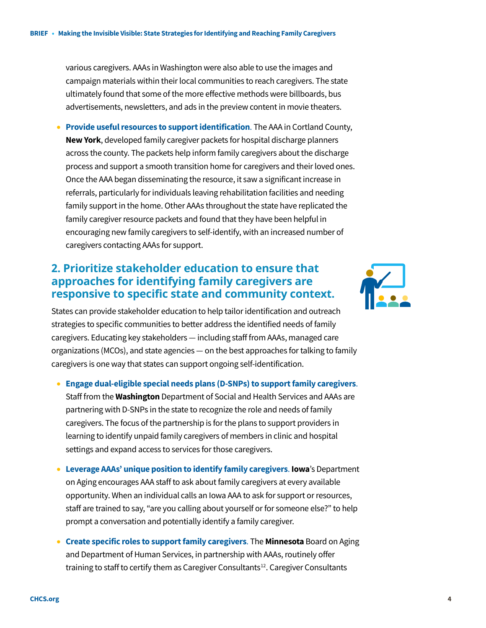various caregivers. AAAs in Washington were also able to use the images and campaign materials within their local communities to reach caregivers. The state ultimately found that some of the more effective methods were billboards, bus advertisements, newsletters, and ads in the preview content in movie theaters.

• **Provide useful resources to support identification**. The AAA in Cortland County, **New York**, developed family caregiver packets for hospital discharge planners across the county. The packets help inform family caregivers about the discharge process and support a smooth transition home for caregivers and their loved ones. Once the AAA began disseminating the resource, it saw a significant increase in referrals, particularly for individuals leaving rehabilitation facilities and needing family support in the home. Other AAAs throughout the state have replicated the family caregiver resource packets and found that they have been helpful in encouraging new family caregivers to self-identify, with an increased number of caregivers contacting AAAs for support.

## **2. Prioritize stakeholder education to ensure that approaches for identifying family caregivers are responsive to specific state and community context.**

States can provide stakeholder education to help tailor identification and outreach strategies to specific communities to better address the identified needs of family caregivers. Educating key stakeholders — including staff from AAAs, managed care organizations (MCOs), and state agencies — on the best approaches for talking to family caregivers is one way that states can support ongoing self-identification.

- **Engage dual-eligible special needs plans (D-SNPs) to support family caregivers**. Staff from the **Washington** Department of Social and Health Services and AAAs are partnering with D-SNPs in the state to recognize the role and needs of family caregivers. The focus of the partnership is for the plans to support providers in learning to identify unpaid family caregivers of members in clinic and hospital settings and expand access to services for those caregivers.
- **Leverage AAAs' unique position to identify family caregivers**. **Iowa**'s Department on Aging encourages AAA staff to ask about family caregivers at every available opportunity. When an individual calls an Iowa AAA to ask for support or resources, staff are trained to say, "are you calling about yourself or for someone else?" to help prompt a conversation and potentially identify a family caregiver.
- **Create specific roles to support family caregivers**. The **Minnesota** Board on Aging and Department of Human Services, in partnership with AAAs, routinely offer training to staff to certify them as Caregiver Consultants<sup>[12](#page-7-11)</sup>. Caregiver Consultants

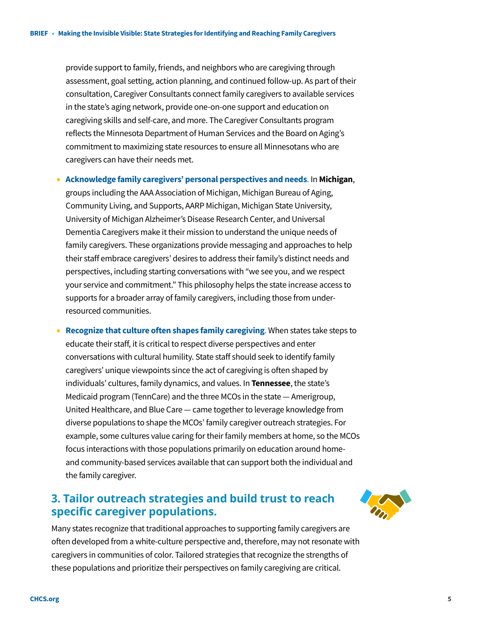provide support to family, friends, and neighbors who are caregiving through assessment, goal setting, action planning, and continued follow-up. As part of their consultation, Caregiver Consultants connect family caregivers to available services in the state's aging network, provide one-on-one support and education on caregiving skills and self-care, and more. The Caregiver Consultants program reflects the Minnesota Department of Human Services and the Board on Aging's commitment to maximizing state resources to ensure all Minnesotans who are caregivers can have their needs met.

• **Acknowledge family caregivers' personal perspectives and needs**. In **Michigan**, groups including the AAA Association of Michigan, Michigan Bureau of Aging, Community Living, and Supports, AARP Michigan, Michigan State University, University of Michigan Alzheimer's Disease Research Center, and Universal Dementia Caregivers make it their mission to understand the unique needs of family caregivers. These organizations provide messaging and approaches to help their staff embrace caregivers' desires to address their family's distinct needs and perspectives, including starting conversations with "we see you, and we respect your service and commitment." This philosophy helps the state increase access to supports for a broader array of family caregivers, including those from underresourced communities.

• **Recognize that culture often shapes family caregiving**. When states take steps to educate their staff, it is critical to respect diverse perspectives and enter conversations with cultural humility. State staff should seek to identify family caregivers' unique viewpoints since the act of caregiving is often shaped by individuals' cultures, family dynamics, and values. In **Tennessee**, the state's Medicaid program (TennCare) and the three MCOs in the state — Amerigroup, United Healthcare, and Blue Care — came together to leverage knowledge from diverse populations to shape the MCOs' family caregiver outreach strategies. For example, some cultures value caring for their family members at home, so the MCOs focus interactions with those populations primarily on education around homeand community-based services available that can support both the individual and the family caregiver.

## **3. Tailor outreach strategies and build trust to reach specific caregiver populations.**



Many states recognize that traditional approaches to supporting family caregivers are often developed from a white-culture perspective and, therefore, may not resonate with caregivers in communities of color. Tailored strategies that recognize the strengths of these populations and prioritize their perspectives on family caregiving are critical.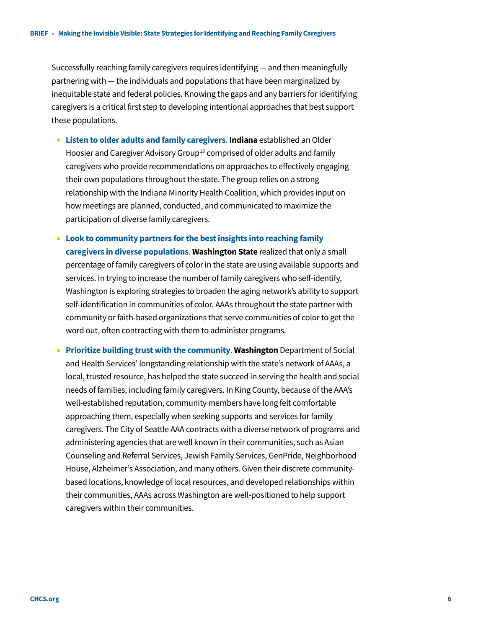Successfully reaching family caregivers requires identifying — and then meaningfully partnering with — the individuals and populations that have been marginalized by inequitable state and federal policies. Knowing the gaps and any barriers for identifying caregivers is a critical first step to developing intentional approaches that best support these populations.

- **Listen to older adults and family caregivers**. **Indiana** established an Older Hoosier and Caregiver Advisory Group<sup>[13](#page-7-12)</sup> comprised of older adults and family caregivers who provide recommendations on approaches to effectively engaging their own populations throughout the state. The group relies on a strong relationship with the Indiana Minority Health Coalition, which provides input on how meetings are planned, conducted, and communicated to maximize the participation of diverse family caregivers.
- **Look to community partners for the best insights into reaching family caregivers in diverse populations**. **Washington State** realized that only a small percentage of family caregivers of color in the state are using available supports and services. In trying to increase the number of family caregivers who self-identify, Washington is exploring strategies to broaden the aging network's ability to support self-identification in communities of color. AAAs throughout the state partner with community or faith-based organizations that serve communities of color to get the word out, often contracting with them to administer programs.
- **Prioritize building trust with the community**. **Washington** Department of Social and Health Services' longstanding relationship with the state's network of AAAs, a local, trusted resource, has helped the state succeed in serving the health and social needs of families, including family caregivers. In King County, because of the AAA's well-established reputation, community members have long felt comfortable approaching them, especially when seeking supports and services for family caregivers. The City of Seattle AAA contracts with a diverse network of programs and administering agencies that are well known in their communities, such as Asian Counseling and Referral Services, Jewish Family Services, GenPride, Neighborhood House, Alzheimer's Association, and many others. Given their discrete communitybased locations, knowledge of local resources, and developed relationships within their communities, AAAs across Washington are well-positioned to help support caregivers within their communities.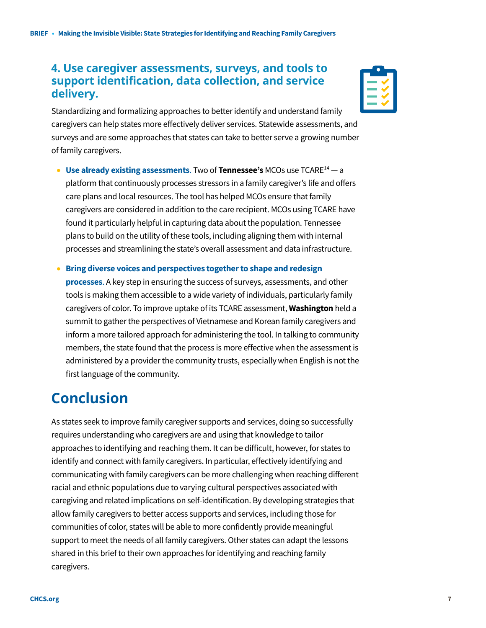#### **4. Use caregiver assessments, surveys, and tools to support identification, data collection, and service delivery.**

Standardizing and formalizing approaches to better identify and understand family caregivers can help states more effectively deliver services. Statewide assessments, and surveys and are some approaches that states can take to better serve a growing number of family caregivers.

• **Use already existing assessments**. Two of **Tennessee's** MCOs use TCAR[E14](#page-7-13) — a platform that continuously processes stressors in a family caregiver's life and offers care plans and local resources. The tool has helped MCOs ensure that family caregivers are considered in addition to the care recipient. MCOs using TCARE have found it particularly helpful in capturing data about the population. Tennessee plans to build on the utility of these tools, including aligning them with internal processes and streamlining the state's overall assessment and data infrastructure.

• **Bring diverse voices and perspectives together to shape and redesign processes**. A key step in ensuring the success of surveys, assessments, and other tools is making them accessible to a wide variety of individuals, particularly family caregivers of color. To improve uptake of its TCARE assessment, **Washington** held a summit to gather the perspectives of Vietnamese and Korean family caregivers and inform a more tailored approach for administering the tool. In talking to community members, the state found that the process is more effective when the assessment is administered by a provider the community trusts, especially when English is not the first language of the community.

# **Conclusion**

As states seek to improve family caregiver supports and services, doing so successfully requires understanding who caregivers are and using that knowledge to tailor approaches to identifying and reaching them. It can be difficult, however, for states to identify and connect with family caregivers. In particular, effectively identifying and communicating with family caregivers can be more challenging when reaching different racial and ethnic populations due to varying cultural perspectives associated with caregiving and related implications on self-identification. By developing strategies that allow family caregivers to better access supports and services, including those for communities of color, states will be able to more confidently provide meaningful support to meet the needs of all family caregivers. Other states can adapt the lessons shared in this brief to their own approaches for identifying and reaching family caregivers.